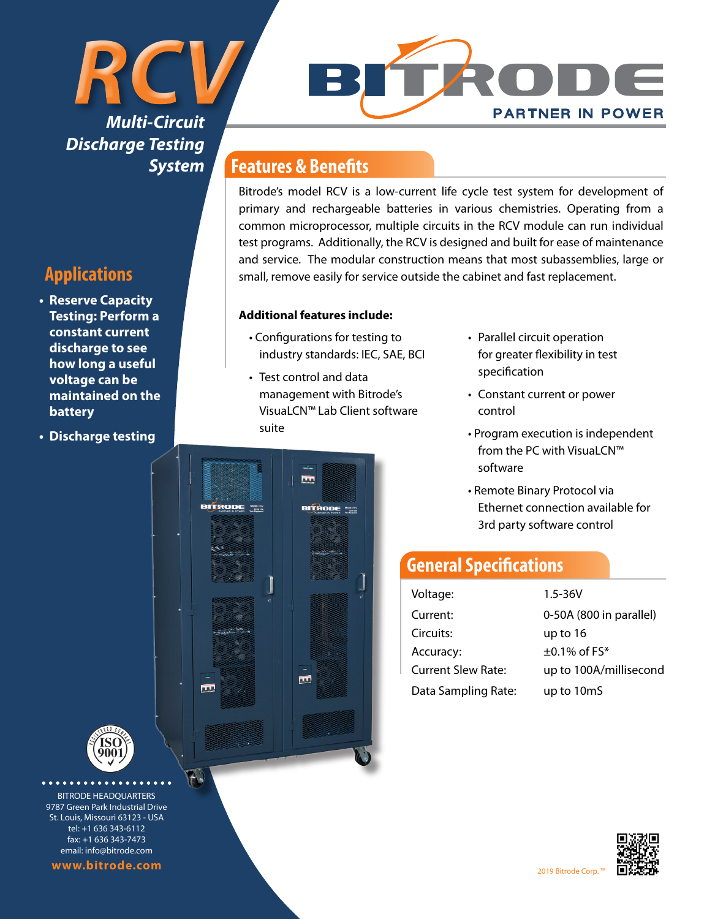## *RCV Multi-Circuit Discharge Testing System*



- **• Reserve Capacity Testing: Perform a constant current discharge to see how long a useful voltage can be maintained on the battery**
- **• Discharge testing**



Bitrode's model RCV is a low-current life cycle test system for development of primary and rechargeable batteries in various chemistries. Operating from a common microprocessor, multiple circuits in the RCV module can run individual test programs. Additionally, the RCV is designed and built for ease of maintenance and service. The modular construction means that most subassemblies, large or small, remove easily for service outside the cabinet and fast replacement.

#### **Additional features include:**

- Configurations for testing to industry standards: IEC, SAE, BCI
- Test control and data management with Bitrode's VisuaLCN™ Lab Client software suite

**BITRODE "SE** 

E

m

**BITRODE** 

匝

- Parallel circuit operation for greater flexibility in test specification
- Constant current or power control
- Program execution is independent from the PC with VisuaLCN™ software

**PARTNER IN POWER** 

• Remote Binary Protocol via Ethernet connection available for 3rd party software control

### **General Specifications**

| Voltage:                  | $1.5 - 36V$             |
|---------------------------|-------------------------|
| Current:                  | 0-50A (800 in parallel) |
| Circuits:                 | up to 16                |
| Accuracy:                 | $\pm$ 0.1% of FS*       |
| <b>Current Slew Rate:</b> | up to 100A/millisecond  |
| Data Sampling Rate:       | up to 10mS              |



**............** BITRODE HEADQUARTERS 9787 Green Park Industrial Drive St. Louis, Missouri 63123 - USA tel: +1 636 343-6112 fax: +1 636 343-7473 email: info@bitrode.com

**www.bitrode.com** 2019 Bitrode Corp. ™